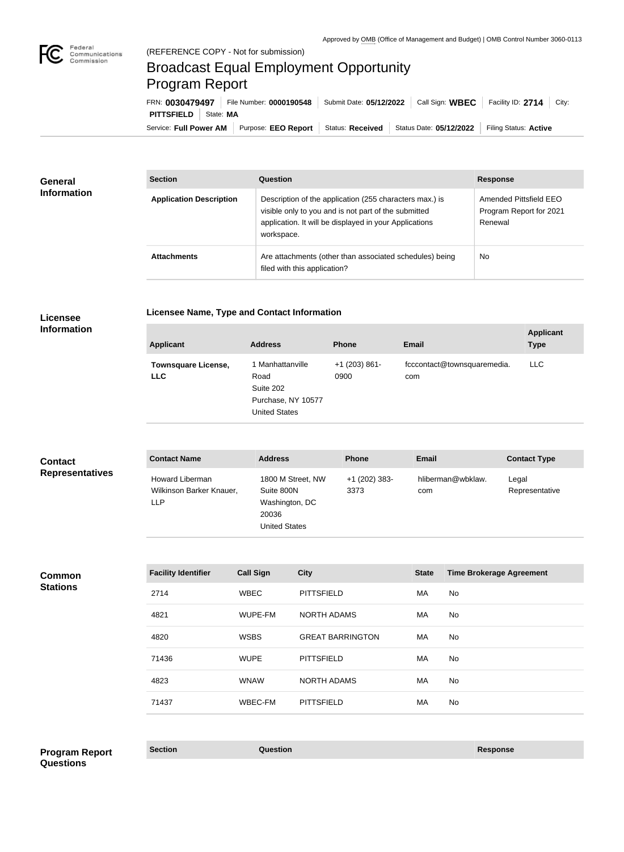

## Broadcast Equal Employment Opportunity Program Report

Service: Full Power AM | Purpose: EEO Report | Status: Received | Status Date: 05/12/2022 | Filing Status: Active **PITTSFIELD** | State: MA FRN: **0030479497** File Number: **0000190548** Submit Date: **05/12/2022** Call Sign: **WBEC** Facility ID: **2714** City:

| <b>General</b><br><b>Information</b> | <b>Section</b>                 | Question                                                                                                                                                                                | <b>Response</b>                                              |
|--------------------------------------|--------------------------------|-----------------------------------------------------------------------------------------------------------------------------------------------------------------------------------------|--------------------------------------------------------------|
|                                      | <b>Application Description</b> | Description of the application (255 characters max.) is<br>visible only to you and is not part of the submitted<br>application. It will be displayed in your Applications<br>workspace. | Amended Pittsfield EEO<br>Program Report for 2021<br>Renewal |
|                                      | <b>Attachments</b>             | Are attachments (other than associated schedules) being<br>filed with this application?                                                                                                 | <b>No</b>                                                    |

## **Licensee Information**

| Licensee Name, Type and Contact Information |  |  |
|---------------------------------------------|--|--|
|                                             |  |  |

| <b>Applicant</b>                         | <b>Address</b>                                                                      | <b>Phone</b>            | <b>Email</b>                       | <b>Applicant</b><br><b>Type</b> |
|------------------------------------------|-------------------------------------------------------------------------------------|-------------------------|------------------------------------|---------------------------------|
| <b>Townsquare License,</b><br><b>LLC</b> | 1 Manhattanville<br>Road<br>Suite 202<br>Purchase, NY 10577<br><b>United States</b> | $+1$ (203) 861-<br>0900 | fcccontact@townsquaremedia.<br>com | <b>LLC</b>                      |

| <b>Contact</b>         | <b>Contact Name</b>                                       | <b>Address</b>                                                                     | <b>Phone</b>            | <b>Email</b>             | <b>Contact Type</b>     |
|------------------------|-----------------------------------------------------------|------------------------------------------------------------------------------------|-------------------------|--------------------------|-------------------------|
| <b>Representatives</b> | Howard Liberman<br>Wilkinson Barker Knauer,<br><b>LLP</b> | 1800 M Street, NW<br>Suite 800N<br>Washington, DC<br>20036<br><b>United States</b> | $+1$ (202) 383-<br>3373 | hliberman@wbklaw.<br>com | Legal<br>Representative |

**Common Stations**

| <b>Facility Identifier</b> | <b>Call Sign</b> | <b>City</b>             | <b>State</b> | <b>Time Brokerage Agreement</b> |
|----------------------------|------------------|-------------------------|--------------|---------------------------------|
| 2714                       | <b>WBEC</b>      | <b>PITTSFIELD</b>       | MA           | No.                             |
| 4821                       | WUPE-FM          | <b>NORTH ADAMS</b>      | <b>MA</b>    | No.                             |
| 4820                       | <b>WSBS</b>      | <b>GREAT BARRINGTON</b> | MA           | No.                             |
| 71436                      | <b>WUPE</b>      | <b>PITTSFIELD</b>       | <b>MA</b>    | No.                             |
| 4823                       | <b>WNAW</b>      | <b>NORTH ADAMS</b>      | MA           | No.                             |
| 71437                      | WBEC-FM          | <b>PITTSFIELD</b>       | MA           | <b>No</b>                       |

**Section Question Response Program Report Questions**